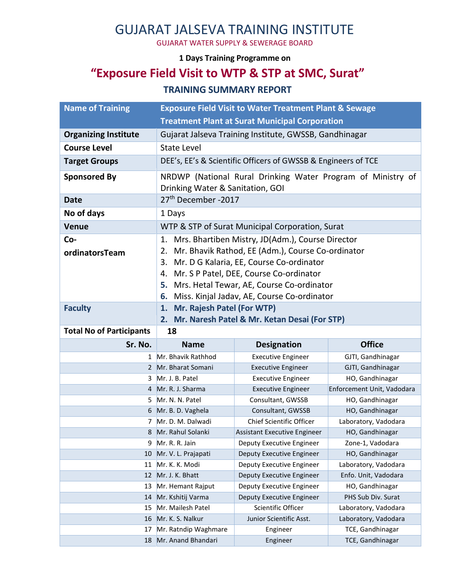## GUJARAT JALSEVA TRAINING INSTITUTE

GUJARAT WATER SUPPLY & SEWERAGE BOARD

#### **1 Days Training Programme on**

### **"Exposure Field Visit to WTP & STP at SMC, Surat"**

#### **TRAINING SUMMARY REPORT**

| <b>Name of Training</b>         | <b>Exposure Field Visit to Water Treatment Plant &amp; Sewage</b>                                                                                                                                                                                                                                                            |                                     |                                      |
|---------------------------------|------------------------------------------------------------------------------------------------------------------------------------------------------------------------------------------------------------------------------------------------------------------------------------------------------------------------------|-------------------------------------|--------------------------------------|
|                                 | <b>Treatment Plant at Surat Municipal Corporation</b>                                                                                                                                                                                                                                                                        |                                     |                                      |
| <b>Organizing Institute</b>     | Gujarat Jalseva Training Institute, GWSSB, Gandhinagar                                                                                                                                                                                                                                                                       |                                     |                                      |
| <b>Course Level</b>             | <b>State Level</b>                                                                                                                                                                                                                                                                                                           |                                     |                                      |
| <b>Target Groups</b>            | DEE's, EE's & Scientific Officers of GWSSB & Engineers of TCE                                                                                                                                                                                                                                                                |                                     |                                      |
| <b>Sponsored By</b>             | NRDWP (National Rural Drinking Water Program of Ministry of<br>Drinking Water & Sanitation, GOI                                                                                                                                                                                                                              |                                     |                                      |
| <b>Date</b>                     | 27 <sup>th</sup> December -2017                                                                                                                                                                                                                                                                                              |                                     |                                      |
| No of days                      | 1 Days                                                                                                                                                                                                                                                                                                                       |                                     |                                      |
| <b>Venue</b>                    | WTP & STP of Surat Municipal Corporation, Surat                                                                                                                                                                                                                                                                              |                                     |                                      |
| Co-<br>ordinatorsTeam           | Mrs. Bhartiben Mistry, JD(Adm.), Course Director<br>1.<br>Mr. Bhavik Rathod, EE (Adm.), Course Co-ordinator<br>2.<br>Mr. D G Kalaria, EE, Course Co-ordinator<br>3.<br>Mr. S P Patel, DEE, Course Co-ordinator<br>4.<br>Mrs. Hetal Tewar, AE, Course Co-ordinator<br>5.<br>Miss. Kinjal Jadav, AE, Course Co-ordinator<br>6. |                                     |                                      |
| <b>Faculty</b>                  | Mr. Rajesh Patel (For WTP)<br>1.                                                                                                                                                                                                                                                                                             |                                     |                                      |
|                                 | Mr. Naresh Patel & Mr. Ketan Desai (For STP)<br>2.                                                                                                                                                                                                                                                                           |                                     |                                      |
|                                 |                                                                                                                                                                                                                                                                                                                              |                                     |                                      |
| <b>Total No of Participants</b> | 18                                                                                                                                                                                                                                                                                                                           |                                     |                                      |
| Sr. No.                         | <b>Name</b>                                                                                                                                                                                                                                                                                                                  | <b>Designation</b>                  | <b>Office</b>                        |
| 1                               | Mr. Bhavik Rathhod                                                                                                                                                                                                                                                                                                           | <b>Executive Engineer</b>           | GJTI, Gandhinagar                    |
|                                 | 2 Mr. Bharat Somani                                                                                                                                                                                                                                                                                                          | <b>Executive Engineer</b>           | GJTI, Gandhinagar                    |
| 3                               | Mr. J. B. Patel                                                                                                                                                                                                                                                                                                              | <b>Executive Engineer</b>           | HO, Gandhinagar                      |
| 4                               | Mr. R. J. Sharma                                                                                                                                                                                                                                                                                                             | <b>Executive Engineer</b>           | Enforcement Unit, Vadodara           |
| 5.                              | Mr. N. N. Patel                                                                                                                                                                                                                                                                                                              | Consultant, GWSSB                   | HO, Gandhinagar                      |
| 6                               | Mr. B. D. Vaghela                                                                                                                                                                                                                                                                                                            | Consultant, GWSSB                   | HO, Gandhinagar                      |
| 7                               | Mr. D. M. Dalwadi                                                                                                                                                                                                                                                                                                            | <b>Chief Scientific Officer</b>     | Laboratory, Vadodara                 |
| 8                               | Mr. Rahul Solanki                                                                                                                                                                                                                                                                                                            | <b>Assistant Executive Engineer</b> | HO, Gandhinagar                      |
| 9                               | Mr. R. R. Jain                                                                                                                                                                                                                                                                                                               | Deputy Executive Engineer           | Zone-1, Vadodara                     |
| 10                              | Mr. V. L. Prajapati                                                                                                                                                                                                                                                                                                          | Deputy Executive Engineer           | HO, Gandhinagar                      |
| 11                              | Mr. K. K. Modi                                                                                                                                                                                                                                                                                                               | Deputy Executive Engineer           | Laboratory, Vadodara                 |
| 12                              | Mr. J. K. Bhatt                                                                                                                                                                                                                                                                                                              | Deputy Executive Engineer           | Enfo. Unit, Vadodara                 |
| 13                              | Mr. Hemant Rajput                                                                                                                                                                                                                                                                                                            | Deputy Executive Engineer           | HO, Gandhinagar                      |
| 14                              | Mr. Kshitij Varma                                                                                                                                                                                                                                                                                                            | Deputy Executive Engineer           | PHS Sub Div. Surat                   |
| 15                              | Mr. Mailesh Patel                                                                                                                                                                                                                                                                                                            | Scientific Officer                  | Laboratory, Vadodara                 |
| 16                              | Mr. K. S. Nalkur                                                                                                                                                                                                                                                                                                             | Junior Scientific Asst.             | Laboratory, Vadodara                 |
| 17                              | Mr. Ratndip Waghmare<br>Mr. Anand Bhandari                                                                                                                                                                                                                                                                                   | Engineer<br>Engineer                | TCE, Gandhinagar<br>TCE, Gandhinagar |